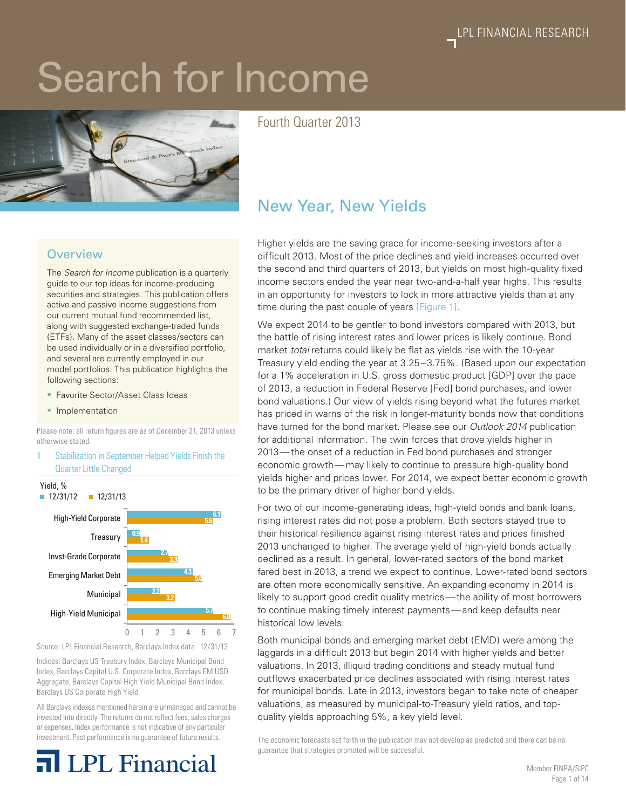# Search for Income



Fourth Quarter 2013

# **Overview**

The *Search for Income* publication is a quarterly guide to our top ideas for income-producing securities and strategies. This publication offers active and passive income suggestions from our current mutual fund recommended list, along with suggested exchange-traded funds (ETFs). Many of the asset classes/sectors can be used individually or in a diversified portfolio, and several are currently employed in our model portfolios. This publication highlights the following sections:

- Favorite Sector/Asset Class Ideas
- **•** Implementation

Please note: all return figures are as of December 31, 2013 unless otherwise stated.

Stabilization in September Helped Yields Finish the Quarter Little Changed





Indices: Barclays US Treasury Index, Barclays Municipal Bond Index, Barclays Capital U.S. Corporate Index, Barclays EM USD Aggregate, Barclays Capital High Yield Municipal Bond Index, Barclays US Corporate High Yield

All Barclays indexes mentioned herein are unmanaged and cannot be invested into directly. The returns do not reflect fees, sales charges or expenses. Index performance is not indicative of any particular investment. Past performance is no guarantee of future results.

# **LPL** Financial

# New Year, New Yields

Higher yields are the saving grace for income-seeking investors after a difficult 2013. Most of the price declines and yield increases occurred over the second and third quarters of 2013, but yields on most high-quality fixed income sectors ended the year near two-and-a-half year highs. This results in an opportunity for investors to lock in more attractive yields than at any time during the past couple of years [Figure 1].

We expect 2014 to be gentler to bond investors compared with 2013, but the battle of rising interest rates and lower prices is likely continue. Bond market *total* returns could likely be flat as yields rise with the 10-year Treasury yield ending the year at 3.25–3.75%. (Based upon our expectation for a 1% acceleration in U.S. gross domestic product [GDP] over the pace of 2013, a reduction in Federal Reserve [Fed] bond purchases, and lower bond valuations.) Our view of yields rising beyond what the futures market has priced in warns of the risk in longer-maturity bonds now that conditions have turned for the bond market. Please see our *Outlook 2014* publication for additional information. The twin forces that drove yields higher in 2013—the onset of a reduction in Fed bond purchases and stronger economic growth—may likely to continue to pressure high-quality bond yields higher and prices lower. For 2014, we expect better economic growth to be the primary driver of higher bond yields.

For two of our income-generating ideas, high-yield bonds and bank loans, rising interest rates did not pose a problem. Both sectors stayed true to their historical resilience against rising interest rates and prices finished 2013 unchanged to higher. The average yield of high-yield bonds actually declined as a result. In general, lower-rated sectors of the bond market fared best in 2013, a trend we expect to continue. Lower-rated bond sectors are often more economically sensitive. An expanding economy in 2014 is likely to support good credit quality metrics—the ability of most borrowers to continue making timely interest payments—and keep defaults near historical low levels.

Both municipal bonds and emerging market debt (EMD) were among the laggards in a difficult 2013 but begin 2014 with higher yields and better valuations. In 2013, illiquid trading conditions and steady mutual fund outflows exacerbated price declines associated with rising interest rates for municipal bonds. Late in 2013, investors began to take note of cheaper valuations, as measured by municipal-to-Treasury yield ratios, and topquality yields approaching 5%, a key yield level.

The economic forecasts set forth in the publication may not develop as predicted and there can be no guarantee that strategies promoted will be successful.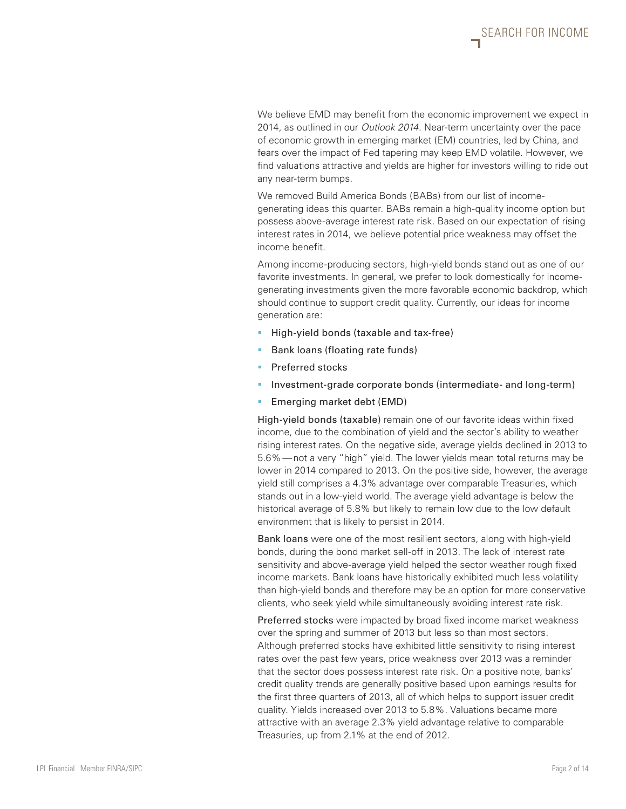We believe EMD may benefit from the economic improvement we expect in 2014, as outlined in our *Outlook 2014*. Near-term uncertainty over the pace of economic growth in emerging market (EM) countries, led by China, and fears over the impact of Fed tapering may keep EMD volatile. However, we find valuations attractive and yields are higher for investors willing to ride out any near-term bumps.

We removed Build America Bonds (BABs) from our list of incomegenerating ideas this quarter. BABs remain a high-quality income option but possess above-average interest rate risk. Based on our expectation of rising interest rates in 2014, we believe potential price weakness may offset the income benefit.

Among income-producing sectors, high-yield bonds stand out as one of our favorite investments. In general, we prefer to look domestically for incomegenerating investments given the more favorable economic backdrop, which should continue to support credit quality. Currently, our ideas for income generation are:

- **High-yield bonds (taxable and tax-free)**
- § Bank loans (floating rate funds)
- Preferred stocks
- **•** Investment-grade corporate bonds (intermediate- and long-term)
- **Emerging market debt (EMD)**

High-yield bonds (taxable) remain one of our favorite ideas within fixed income, due to the combination of yield and the sector's ability to weather rising interest rates. On the negative side, average yields declined in 2013 to 5.6%—not a very "high" yield. The lower yields mean total returns may be lower in 2014 compared to 2013. On the positive side, however, the average yield still comprises a 4.3% advantage over comparable Treasuries, which stands out in a low-yield world. The average yield advantage is below the historical average of 5.8% but likely to remain low due to the low default environment that is likely to persist in 2014.

Bank loans were one of the most resilient sectors, along with high-yield bonds, during the bond market sell-off in 2013. The lack of interest rate sensitivity and above-average yield helped the sector weather rough fixed income markets. Bank loans have historically exhibited much less volatility than high-yield bonds and therefore may be an option for more conservative clients, who seek yield while simultaneously avoiding interest rate risk.

Preferred stocks were impacted by broad fixed income market weakness over the spring and summer of 2013 but less so than most sectors. Although preferred stocks have exhibited little sensitivity to rising interest rates over the past few years, price weakness over 2013 was a reminder that the sector does possess interest rate risk. On a positive note, banks' credit quality trends are generally positive based upon earnings results for the first three quarters of 2013, all of which helps to support issuer credit quality. Yields increased over 2013 to 5.8%. Valuations became more attractive with an average 2.3% yield advantage relative to comparable Treasuries, up from 2.1% at the end of 2012.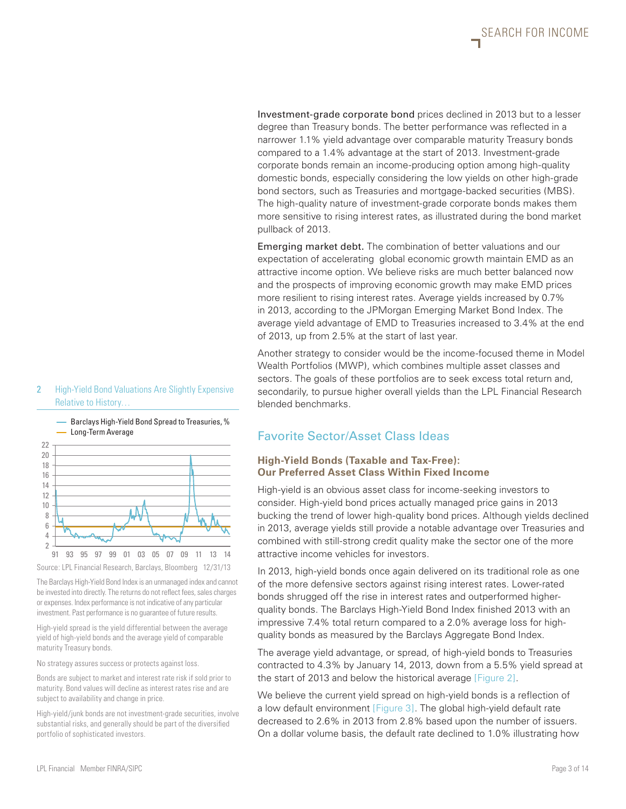Investment-grade corporate bond prices declined in 2013 but to a lesser degree than Treasury bonds. The better performance was reflected in a narrower 1.1% yield advantage over comparable maturity Treasury bonds compared to a 1.4% advantage at the start of 2013. Investment-grade corporate bonds remain an income-producing option among high-quality domestic bonds, especially considering the low yields on other high-grade bond sectors, such as Treasuries and mortgage-backed securities (MBS). The high-quality nature of investment-grade corporate bonds makes them more sensitive to rising interest rates, as illustrated during the bond market pullback of 2013.

Emerging market debt. The combination of better valuations and our expectation of accelerating global economic growth maintain EMD as an attractive income option. We believe risks are much better balanced now and the prospects of improving economic growth may make EMD prices more resilient to rising interest rates. Average yields increased by 0.7% in 2013, according to the JPMorgan Emerging Market Bond Index. The average yield advantage of EMD to Treasuries increased to 3.4% at the end of 2013, up from 2.5% at the start of last year.

Another strategy to consider would be the income-focused theme in Model Wealth Portfolios (MWP), which combines multiple asset classes and sectors. The goals of these portfolios are to seek excess total return and, secondarily, to pursue higher overall yields than the LPL Financial Research blended benchmarks.

# Favorite Sector/Asset Class Ideas

#### **High-Yield Bonds (Taxable and Tax-Free): Our Preferred Asset Class Within Fixed Income**

High-yield is an obvious asset class for income-seeking investors to consider. High-yield bond prices actually managed price gains in 2013 bucking the trend of lower high-quality bond prices. Although yields declined in 2013, average yields still provide a notable advantage over Treasuries and combined with still-strong credit quality make the sector one of the more attractive income vehicles for investors.

In 2013, high-yield bonds once again delivered on its traditional role as one of the more defensive sectors against rising interest rates. Lower-rated bonds shrugged off the rise in interest rates and outperformed higherquality bonds. The Barclays High-Yield Bond Index finished 2013 with an impressive 7.4% total return compared to a 2.0% average loss for highquality bonds as measured by the Barclays Aggregate Bond Index.

The average yield advantage, or spread, of high-yield bonds to Treasuries contracted to 4.3% by January 14, 2013, down from a 5.5% yield spread at the start of 2013 and below the historical average [Figure 2].

We believe the current yield spread on high-yield bonds is a reflection of a low default environment [Figure 3]. The global high-yield default rate decreased to 2.6% in 2013 from 2.8% based upon the number of issuers. On a dollar volume basis, the default rate declined to 1.0% illustrating how



2 High-Yield Bond Valuations Are Slightly Expensive

The Barclays High-Yield Bond Index is an unmanaged index and cannot be invested into directly. The returns do not reflect fees, sales charges or expenses. Index performance is not indicative of any particular investment. Past performance is no guarantee of future results.

Source: LPL Financial Research, Barclays, Bloomberg 12/31/13

91 93 95 97 99 01 03 05 07 09 11 13 14

High-yield spread is the yield differential between the average yield of high-yield bonds and the average yield of comparable maturity Treasury bonds.

No strategy assures success or protects against loss.

Bonds are subject to market and interest rate risk if sold prior to maturity. Bond values will decline as interest rates rise and are subject to availability and change in price.

High-yield/junk bonds are not investment-grade securities, involve substantial risks, and generally should be part of the diversified portfolio of sophisticated investors.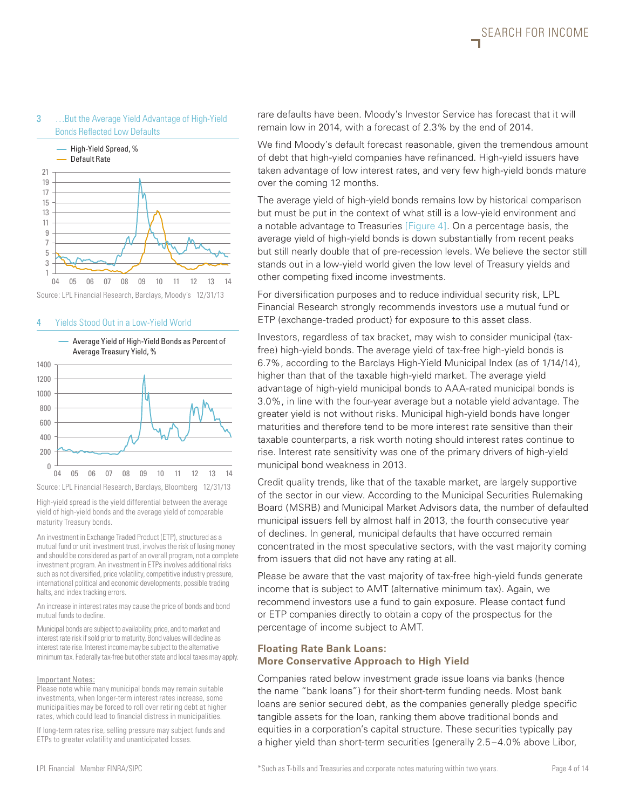#### 3 …But the Average Yield Advantage of High-Yield Bonds Reflected Low Defaults



#### Source: LPL Financial Research, Barclays, Moody's 12/31/13

#### 4 Yields Stood Out in a Low-Yield World



High-yield spread is the yield differential between the average yield of high-yield bonds and the average yield of comparable maturity Treasury bonds.

An investment in Exchange Traded Product (ETP), structured as a mutual fund or unit investment trust, involves the risk of losing money and should be considered as part of an overall program, not a complete investment program. An investment in ETPs involves additional risks such as not diversified, price volatility, competitive industry pressure, international political and economic developments, possible trading halts, and index tracking errors.

An increase in interest rates may cause the price of bonds and bond mutual funds to decline.

Municipal bonds are subject to availability, price, and to market and interest rate risk if sold prior to maturity. Bond values will decline as interest rate rise. Interest income may be subject to the alternative minimum tax. Federally tax-free but other state and local taxes may apply.

#### Important Notes:

Please note while many municipal bonds may remain suitable investments, when longer-term interest rates increase, some municipalities may be forced to roll over retiring debt at higher rates, which could lead to financial distress in municipalities.

If long-term rates rise, selling pressure may subject funds and ETPs to greater volatility and unanticipated losses.

rare defaults have been. Moody's Investor Service has forecast that it will remain low in 2014, with a forecast of 2.3% by the end of 2014.

We find Moody's default forecast reasonable, given the tremendous amount of debt that high-yield companies have refinanced. High-yield issuers have taken advantage of low interest rates, and very few high-yield bonds mature over the coming 12 months.

The average yield of high-yield bonds remains low by historical comparison but must be put in the context of what still is a low-yield environment and a notable advantage to Treasuries [Figure 4]. On a percentage basis, the average yield of high-yield bonds is down substantially from recent peaks but still nearly double that of pre-recession levels. We believe the sector still stands out in a low-yield world given the low level of Treasury yields and other competing fixed income investments.

For diversification purposes and to reduce individual security risk, LPL Financial Research strongly recommends investors use a mutual fund or ETP (exchange-traded product) for exposure to this asset class.

Investors, regardless of tax bracket, may wish to consider municipal (taxfree) high-yield bonds. The average yield of tax-free high-yield bonds is 6.7%, according to the Barclays High-Yield Municipal Index (as of 1/14/14), higher than that of the taxable high-yield market. The average yield advantage of high-yield municipal bonds to AAA-rated municipal bonds is 3.0%, in line with the four-year average but a notable yield advantage. The greater yield is not without risks. Municipal high-yield bonds have longer maturities and therefore tend to be more interest rate sensitive than their taxable counterparts, a risk worth noting should interest rates continue to rise. Interest rate sensitivity was one of the primary drivers of high-yield municipal bond weakness in 2013.

Credit quality trends, like that of the taxable market, are largely supportive of the sector in our view. According to the Municipal Securities Rulemaking Board (MSRB) and Municipal Market Advisors data, the number of defaulted municipal issuers fell by almost half in 2013, the fourth consecutive year of declines. In general, municipal defaults that have occurred remain concentrated in the most speculative sectors, with the vast majority coming from issuers that did not have any rating at all.

Please be aware that the vast majority of tax-free high-yield funds generate income that is subject to AMT (alternative minimum tax). Again, we recommend investors use a fund to gain exposure. Please contact fund or ETP companies directly to obtain a copy of the prospectus for the percentage of income subject to AMT.

# **Floating Rate Bank Loans: More Conservative Approach to High Yield**

Companies rated below investment grade issue loans via banks (hence the name "bank loans") for their short-term funding needs. Most bank loans are senior secured debt, as the companies generally pledge specific tangible assets for the loan, ranking them above traditional bonds and equities in a corporation's capital structure. These securities typically pay a higher yield than short-term securities (generally 2.5–4.0% above Libor,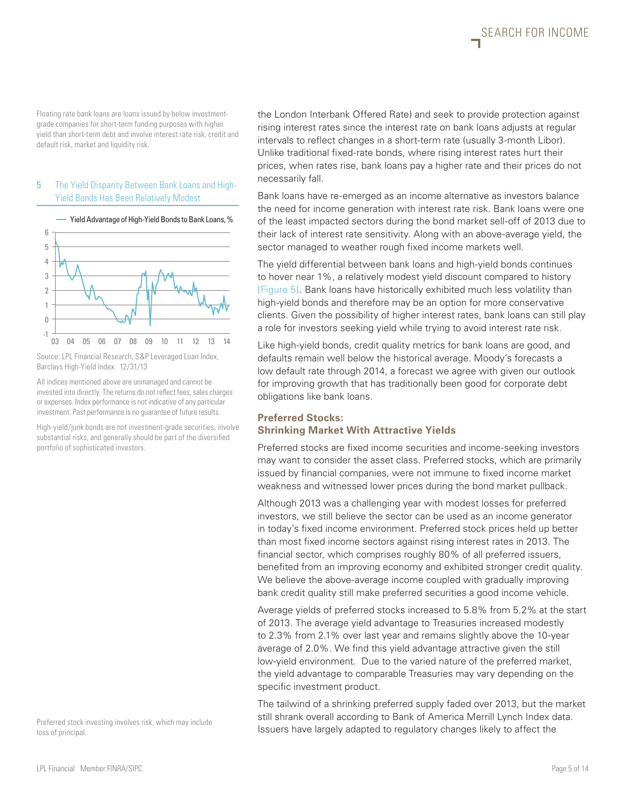SEARCH FOR INCOME

Floating rate bank loans are loans issued by below investmentgrade companies for short-term funding purposes with higher yield than short-term debt and involve interest rate risk, credit and default risk, market and liquidity risk.

#### 5 The Yield Disparity Between Bank Loans and High-Yield Bonds Has Been Relatively Modest



Source: LPL Financial Research, S&P Leveraged Loan Index, Barclays High-Yield Index 12/31/13 03 04 05 06 07 08 09 10 11 12 13 14 -1

 $\overline{0}$ 

All indices mentioned above are unmanaged and cannot be invested into directly. The returns do not reflect fees, sales charges or expenses. Index performance is not indicative of any particular investment. Past performance is no guarantee of future results.

High-yield/junk bonds are not investment-grade securities, involve substantial risks, and generally should be part of the diversified portfolio of sophisticated investors.

Preferred stock investing involves risk, which may include loss of principal.

the London Interbank Offered Rate) and seek to provide protection against rising interest rates since the interest rate on bank loans adjusts at regular intervals to reflect changes in a short-term rate (usually 3-month Libor). Unlike traditional fixed-rate bonds, where rising interest rates hurt their prices, when rates rise, bank loans pay a higher rate and their prices do not necessarily fall.

Bank loans have re-emerged as an income alternative as investors balance the need for income generation with interest rate risk. Bank loans were one of the least impacted sectors during the bond market sell-off of 2013 due to their lack of interest rate sensitivity. Along with an above-average yield, the sector managed to weather rough fixed income markets well.

The yield differential between bank loans and high-yield bonds continues to hover near 1%, a relatively modest yield discount compared to history [Figure 5]. Bank loans have historically exhibited much less volatility than high-yield bonds and therefore may be an option for more conservative clients. Given the possibility of higher interest rates, bank loans can still play a role for investors seeking yield while trying to avoid interest rate risk.

Like high-yield bonds, credit quality metrics for bank loans are good, and defaults remain well below the historical average. Moody's forecasts a low default rate through 2014, a forecast we agree with given our outlook for improving growth that has traditionally been good for corporate debt obligations like bank loans.

# **Preferred Stocks: Shrinking Market With Attractive Yields**

Preferred stocks are fixed income securities and income-seeking investors may want to consider the asset class. Preferred stocks, which are primarily issued by financial companies, were not immune to fixed income market weakness and witnessed lower prices during the bond market pullback.

Although 2013 was a challenging year with modest losses for preferred investors, we still believe the sector can be used as an income generator in today's fixed income environment. Preferred stock prices held up better than most fixed income sectors against rising interest rates in 2013. The financial sector, which comprises roughly 80% of all preferred issuers, benefited from an improving economy and exhibited stronger credit quality. We believe the above-average income coupled with gradually improving bank credit quality still make preferred securities a good income vehicle.

Average yields of preferred stocks increased to 5.8% from 5.2% at the start of 2013. The average yield advantage to Treasuries increased modestly to 2.3% from 2.1% over last year and remains slightly above the 10-year average of 2.0%. We find this yield advantage attractive given the still low-yield environment. Due to the varied nature of the preferred market, the yield advantage to comparable Treasuries may vary depending on the specific investment product.

The tailwind of a shrinking preferred supply faded over 2013, but the market still shrank overall according to Bank of America Merrill Lynch Index data. Issuers have largely adapted to regulatory changes likely to affect the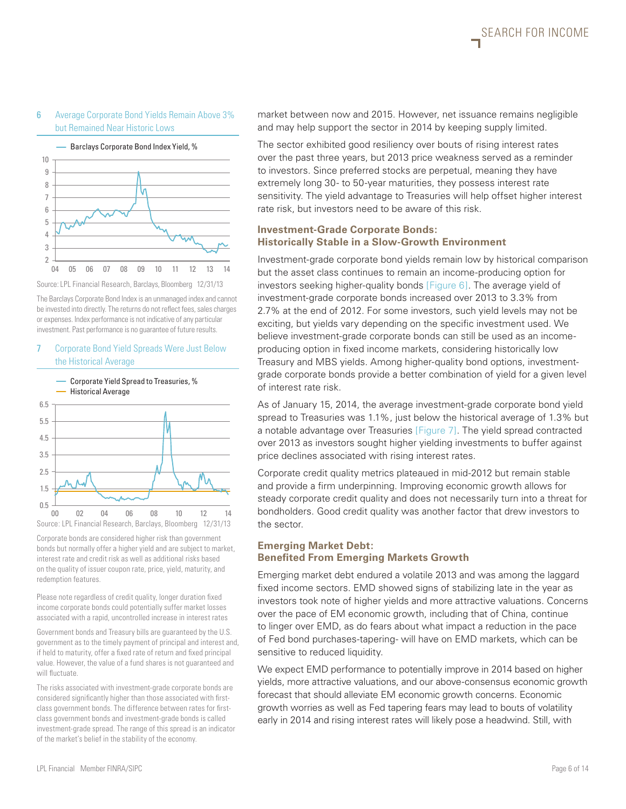#### 6 Average Corporate Bond Yields Remain Above 3% but Remained Near Historic Lows



Source: LPL Financial Research, Barclays, Bloomberg 12/31/13

The Barclays Corporate Bond Index is an unmanaged index and cannot be invested into directly. The returns do not reflect fees, sales charges or expenses. Index performance is not indicative of any particular investment. Past performance is no guarantee of future results.

#### 7 Corporate Bond Yield Spreads Were Just Below the Historical Average



Corporate bonds are considered higher risk than government bonds but normally offer a higher yield and are subject to market, interest rate and credit risk as well as additional risks based on the quality of issuer coupon rate, price, yield, maturity, and redemption features.

Please note regardless of credit quality, longer duration fixed income corporate bonds could potentially suffer market losses associated with a rapid, uncontrolled increase in interest rates

Government bonds and Treasury bills are guaranteed by the U.S. government as to the timely payment of principal and interest and, if held to maturity, offer a fixed rate of return and fixed principal value. However, the value of a fund shares is not guaranteed and will fluctuate.

The risks associated with investment-grade corporate bonds are considered significantly higher than those associated with firstclass government bonds. The difference between rates for firstclass government bonds and investment-grade bonds is called investment-grade spread. The range of this spread is an indicator of the market's belief in the stability of the economy.

market between now and 2015. However, net issuance remains negligible and may help support the sector in 2014 by keeping supply limited.

The sector exhibited good resiliency over bouts of rising interest rates over the past three years, but 2013 price weakness served as a reminder to investors. Since preferred stocks are perpetual, meaning they have extremely long 30- to 50-year maturities, they possess interest rate sensitivity. The yield advantage to Treasuries will help offset higher interest rate risk, but investors need to be aware of this risk.

### **Investment-Grade Corporate Bonds: Historically Stable in a Slow-Growth Environment**

Investment-grade corporate bond yields remain low by historical comparison but the asset class continues to remain an income-producing option for investors seeking higher-quality bonds [Figure 6]. The average yield of investment-grade corporate bonds increased over 2013 to 3.3% from 2.7% at the end of 2012. For some investors, such yield levels may not be exciting, but yields vary depending on the specific investment used. We believe investment-grade corporate bonds can still be used as an incomeproducing option in fixed income markets, considering historically low Treasury and MBS yields. Among higher-quality bond options, investmentgrade corporate bonds provide a better combination of yield for a given level of interest rate risk.

As of January 15, 2014, the average investment-grade corporate bond yield spread to Treasuries was 1.1%, just below the historical average of 1.3% but a notable advantage over Treasuries [Figure 7]. The yield spread contracted over 2013 as investors sought higher yielding investments to buffer against price declines associated with rising interest rates.

Corporate credit quality metrics plateaued in mid-2012 but remain stable and provide a firm underpinning. Improving economic growth allows for steady corporate credit quality and does not necessarily turn into a threat for bondholders. Good credit quality was another factor that drew investors to the sector.

### **Emerging Market Debt: Benefited From Emerging Markets Growth**

Emerging market debt endured a volatile 2013 and was among the laggard fixed income sectors. EMD showed signs of stabilizing late in the year as investors took note of higher yields and more attractive valuations. Concerns over the pace of EM economic growth, including that of China, continue to linger over EMD, as do fears about what impact a reduction in the pace of Fed bond purchases-tapering- will have on EMD markets, which can be sensitive to reduced liquidity.

We expect EMD performance to potentially improve in 2014 based on higher yields, more attractive valuations, and our above-consensus economic growth forecast that should alleviate EM economic growth concerns. Economic growth worries as well as Fed tapering fears may lead to bouts of volatility early in 2014 and rising interest rates will likely pose a headwind. Still, with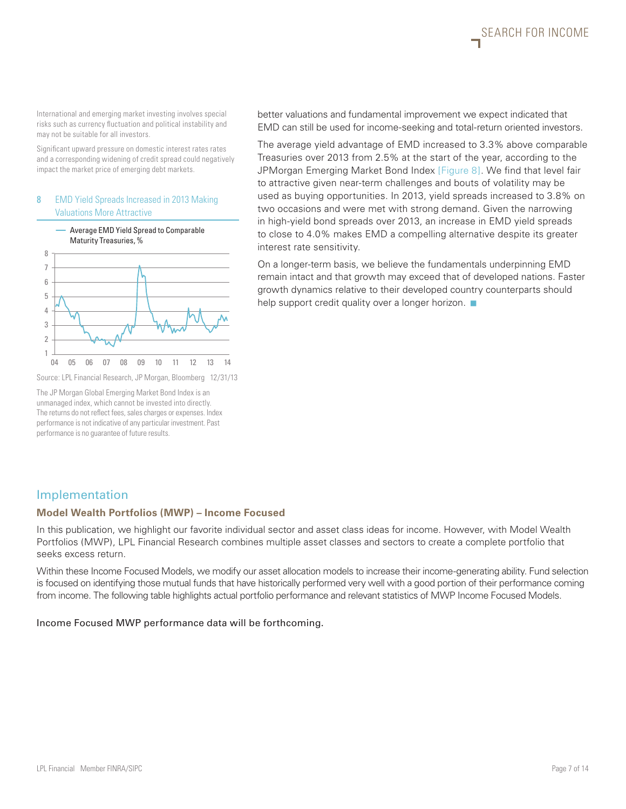SEARCH FOR INCOME

International and emerging market investing involves special risks such as currency fluctuation and political instability and may not be suitable for all investors.

Significant upward pressure on domestic interest rates rates and a corresponding widening of credit spread could negatively impact the market price of emerging debt markets.

#### 8 EMD Yield Spreads Increased in 2013 Making Valuations More Attractive



Source: LPL Financial Research, JP Morgan, Bloomberg 12/31/13

The JP Morgan Global Emerging Market Bond Index is an unmanaged index, which cannot be invested into directly. The returns do not reflect fees, sales charges or expenses. Index performance is not indicative of any particular investment. Past performance is no guarantee of future results.

better valuations and fundamental improvement we expect indicated that EMD can still be used for income-seeking and total-return oriented investors.

The average yield advantage of EMD increased to 3.3% above comparable Treasuries over 2013 from 2.5% at the start of the year, according to the JPMorgan Emerging Market Bond Index [Figure 8]. We find that level fair to attractive given near-term challenges and bouts of volatility may be used as buying opportunities. In 2013, yield spreads increased to 3.8% on two occasions and were met with strong demand. Given the narrowing in high-yield bond spreads over 2013, an increase in EMD yield spreads to close to 4.0% makes EMD a compelling alternative despite its greater interest rate sensitivity.

On a longer-term basis, we believe the fundamentals underpinning EMD remain intact and that growth may exceed that of developed nations. Faster growth dynamics relative to their developed country counterparts should help support credit quality over a longer horizon.  $\blacksquare$ 

# Implementation

#### **Model Wealth Portfolios (MWP) – Income Focused**

In this publication, we highlight our favorite individual sector and asset class ideas for income. However, with Model Wealth Portfolios (MWP), LPL Financial Research combines multiple asset classes and sectors to create a complete portfolio that seeks excess return.

Within these Income Focused Models, we modify our asset allocation models to increase their income-generating ability. Fund selection is focused on identifying those mutual funds that have historically performed very well with a good portion of their performance coming from income. The following table highlights actual portfolio performance and relevant statistics of MWP Income Focused Models.

#### Income Focused MWP performance data will be forthcoming.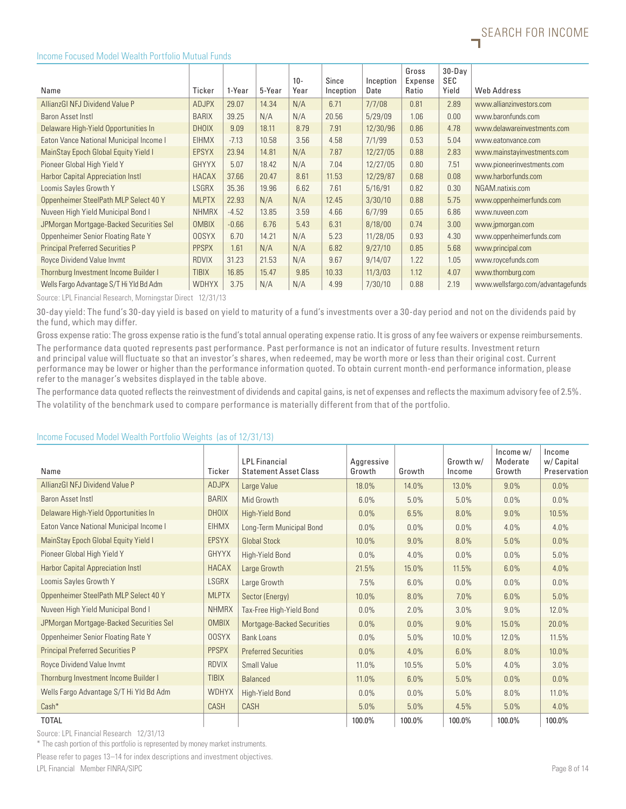

#### Income Focused Model Wealth Portfolio Mutual Funds

|                                         |              |         |        | $10 -$ | Since     | Inception | Gross<br>Expense | $30 - Day$<br>SEC |                                   |
|-----------------------------------------|--------------|---------|--------|--------|-----------|-----------|------------------|-------------------|-----------------------------------|
| Name                                    | Ticker       | 1-Year  | 5-Year | Year   | Inception | Date      | Ratio            | Yield             | Web Address                       |
| AllianzGI NFJ Dividend Value P          | <b>ADJPX</b> | 29.07   | 14.34  | N/A    | 6.71      | 7/7/08    | 0.81             | 2.89              | www.allianzinvestors.com          |
| Baron Asset Instl                       | <b>BARIX</b> | 39.25   | N/A    | N/A    | 20.56     | 5/29/09   | 1.06             | 0.00              | www.baronfunds.com                |
| Delaware High-Yield Opportunities In    | <b>DHOIX</b> | 9.09    | 18.11  | 8.79   | 7.91      | 12/30/96  | 0.86             | 4.78              | www.delawareinvestments.com       |
| Eaton Vance National Municipal Income I | <b>EIHMX</b> | $-7.13$ | 10.58  | 3.56   | 4.58      | 7/1/99    | 0.53             | 5.04              | www.eatonvance.com                |
| MainStay Epoch Global Equity Yield I    | <b>EPSYX</b> | 23.94   | 14.81  | N/A    | 7.87      | 12/27/05  | 0.88             | 2.83              | www.mainstayinvestments.com       |
| Pioneer Global High Yield Y             | <b>GHYYX</b> | 5.07    | 18.42  | N/A    | 7.04      | 12/27/05  | 0.80             | 7.51              | www.pioneerinvestments.com        |
| Harbor Capital Appreciation Instl       | <b>HACAX</b> | 37.66   | 20.47  | 8.61   | 11.53     | 12/29/87  | 0.68             | 0.08              | www.harborfunds.com               |
| Loomis Sayles Growth Y                  | LSGRX        | 35.36   | 19.96  | 6.62   | 7.61      | 5/16/91   | 0.82             | 0.30              | NGAM.natixis.com                  |
| Oppenheimer SteelPath MLP Select 40 Y   | <b>MLPTX</b> | 22.93   | N/A    | N/A    | 12.45     | 3/30/10   | 0.88             | 5.75              | www.oppenheimerfunds.com          |
| Nuveen High Yield Municipal Bond I      | <b>NHMRX</b> | $-4.52$ | 13.85  | 3.59   | 4.66      | 6/7/99    | 0.65             | 6.86              | www.nuveen.com                    |
| JPMorgan Mortgage-Backed Securities Sel | <b>OMBIX</b> | $-0.66$ | 6.76   | 5.43   | 6.31      | 8/18/00   | 0.74             | 3.00              | www.jpmorgan.com                  |
| Oppenheimer Senior Floating Rate Y      | <b>OOSYX</b> | 6.70    | 14.21  | N/A    | 5.23      | 11/28/05  | 0.93             | 4.30              | www.oppenheimerfunds.com          |
| <b>Principal Preferred Securities P</b> | <b>PPSPX</b> | 1.61    | N/A    | N/A    | 6.82      | 9/27/10   | 0.85             | 5.68              | www.principal.com                 |
| Royce Dividend Value Invmt              | <b>RDVIX</b> | 31.23   | 21.53  | N/A    | 9.67      | 9/14/07   | 1.22             | 1.05              | www.roycefunds.com                |
| Thornburg Investment Income Builder I   | <b>TIBIX</b> | 16.85   | 15.47  | 9.85   | 10.33     | 11/3/03   | 1.12             | 4.07              | www.thornburg.com                 |
| Wells Fargo Advantage S/T Hi Yld Bd Adm | <b>WDHYX</b> | 3.75    | N/A    | N/A    | 4.99      | 7/30/10   | 0.88             | 2.19              | www.wellsfargo.com/advantagefunds |

Source: LPL Financial Research, Morningstar Direct 12/31/13

30-day yield: The fund's 30-day yield is based on yield to maturity of a fund's investments over a 30-day period and not on the dividends paid by the fund, which may differ.

Gross expense ratio: The gross expense ratio is the fund's total annual operating expense ratio. It is gross of any fee waivers or expense reimbursements.

The performance data quoted represents past performance. Past performance is not an indicator of future results. Investment return and principal value will fluctuate so that an investor's shares, when redeemed, may be worth more or less than their original cost. Current performance may be lower or higher than the performance information quoted. To obtain current month-end performance information, please refer to the manager's websites displayed in the table above.

The performance data quoted reflects the reinvestment of dividends and capital gains, is net of expenses and reflects the maximum advisory fee of 2.5%. The volatility of the benchmark used to compare performance is materially different from that of the portfolio.

# Income Focused Model Wealth Portfolio Weights (as of 12/31/13)

| Name                                     | Ticker       | <b>LPL</b> Financial<br><b>Statement Asset Class</b> | Aggressive<br>Growth | Growth  | Growth w/<br>Income | $lncome$ w/<br>Moderate<br>Growth | Income<br>w/ Capital<br>Preservation |
|------------------------------------------|--------------|------------------------------------------------------|----------------------|---------|---------------------|-----------------------------------|--------------------------------------|
| AllianzGI NFJ Dividend Value P           | ADJPX        | Large Value                                          | 18.0%                | 14.0%   | 13.0%               | 9.0%                              | 0.0%                                 |
| <b>Baron Asset Instl</b>                 | <b>BARIX</b> | Mid Growth                                           | 6.0%                 | 5.0%    | 5.0%                | 0.0%                              | 0.0%                                 |
| Delaware High-Yield Opportunities In     | <b>DHOIX</b> | <b>High-Yield Bond</b>                               | $0.0\%$              | 6.5%    | 8.0%                | 9.0%                              | 10.5%                                |
| Eaton Vance National Municipal Income I  | <b>EIHMX</b> | Long-Term Municipal Bond                             | 0.0%                 | $0.0\%$ | $0.0\%$             | 4.0%                              | 4.0%                                 |
| MainStay Epoch Global Equity Yield I     | <b>EPSYX</b> | <b>Global Stock</b>                                  | 10.0%                | 9.0%    | 8.0%                | 5.0%                              | 0.0%                                 |
| Pioneer Global High Yield Y              | <b>GHYYX</b> | High-Yield Bond                                      | 0.0%                 | 4.0%    | $0.0\%$             | 0.0%                              | 5.0%                                 |
| <b>Harbor Capital Appreciation Instl</b> | <b>HACAX</b> | Large Growth                                         | 21.5%                | 15.0%   | 11.5%               | 6.0%                              | 4.0%                                 |
| Loomis Sayles Growth Y                   | LSGRX        | Large Growth                                         | 7.5%                 | 6.0%    | $0.0\%$             | $0.0\%$                           | 0.0%                                 |
| Oppenheimer SteelPath MLP Select 40 Y    | <b>MLPTX</b> | Sector (Energy)                                      | 10.0%                | 8.0%    | 7.0%                | 6.0%                              | 5.0%                                 |
| Nuveen High Yield Municipal Bond I       | <b>NHMRX</b> | Tax-Free High-Yield Bond                             | 0.0%                 | 2.0%    | 3.0%                | 9.0%                              | 12.0%                                |
| JPMorgan Mortgage-Backed Securities Sel  | <b>OMBIX</b> | Mortgage-Backed Securities                           | 0.0%                 | 0.0%    | 9.0%                | 15.0%                             | 20.0%                                |
| Oppenheimer Senior Floating Rate Y       | <b>OOSYX</b> | <b>Bank Loans</b>                                    | 0.0%                 | 5.0%    | 10.0%               | 12.0%                             | 11.5%                                |
| <b>Principal Preferred Securities P</b>  | <b>PPSPX</b> | <b>Preferred Securities</b>                          | 0.0%                 | 4.0%    | 6.0%                | 8.0%                              | 10.0%                                |
| Royce Dividend Value Invmt               | <b>RDVIX</b> | Small Value                                          | 11.0%                | 10.5%   | 5.0%                | 4.0%                              | 3.0%                                 |
| Thornburg Investment Income Builder I    | <b>TIBIX</b> | <b>Balanced</b>                                      | 11.0%                | 6.0%    | 5.0%                | $0.0\%$                           | $0.0\%$                              |
| Wells Fargo Advantage S/T Hi Yld Bd Adm  | WDHYX        | High-Yield Bond                                      | 0.0%                 | $0.0\%$ | 5.0%                | 8.0%                              | 11.0%                                |
| Cash*                                    | CASH         | CASH                                                 | 5.0%                 | 5.0%    | 4.5%                | 5.0%                              | 4.0%                                 |
| <b>TOTAL</b>                             |              |                                                      | 100.0%               | 100.0%  | 100.0%              | 100.0%                            | 100.0%                               |

Source: LPL Financial Research 12/31/13

\* The cash portion of this portfolio is represented by money market instruments.

LPL Financial Member FINRA/SIPC Page 8 of 14 Please refer to pages 13–14 for index descriptions and investment objectives.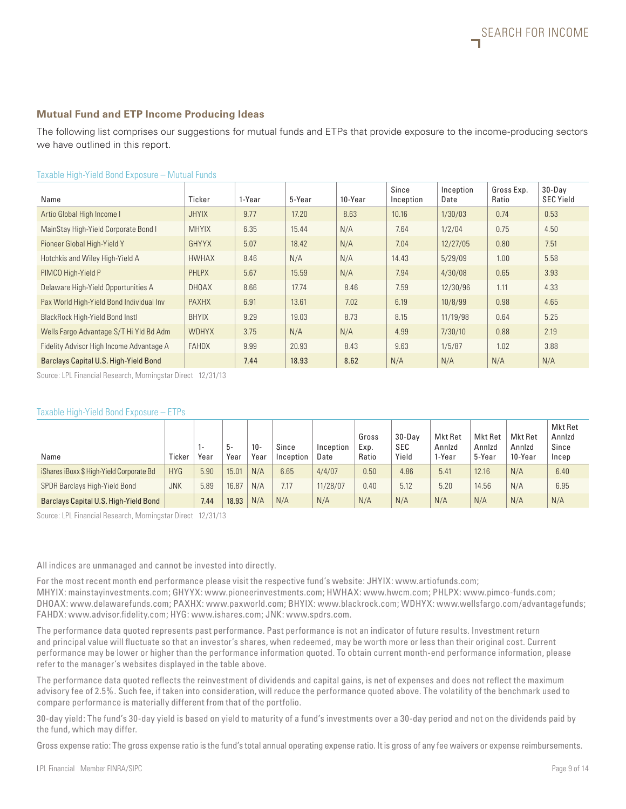#### **Mutual Fund and ETP Income Producing Ideas**

The following list comprises our suggestions for mutual funds and ETPs that provide exposure to the income-producing sectors we have outlined in this report.

| Name                                     | Ticker       | 1-Year | 5-Year | 10-Year | Since<br>Inception | Inception<br>Date | Gross Exp.<br>Ratio | $30 - Dav$<br><b>SEC Yield</b> |
|------------------------------------------|--------------|--------|--------|---------|--------------------|-------------------|---------------------|--------------------------------|
| Artio Global High Income I               | <b>JHYIX</b> | 9.77   | 17.20  | 8.63    | 10.16              | 1/30/03           | 0.74                | 0.53                           |
| MainStay High-Yield Corporate Bond I     | <b>MHYIX</b> | 6.35   | 15.44  | N/A     | 7.64               | 1/2/04            | 0.75                | 4.50                           |
| Pioneer Global High-Yield Y              | GHYYX        | 5.07   | 18.42  | N/A     | 7.04               | 12/27/05          | 0.80                | 7.51                           |
| Hotchkis and Wiley High-Yield A          | <b>HWHAX</b> | 8.46   | N/A    | N/A     | 14.43              | 5/29/09           | 1.00                | 5.58                           |
| PIMCO High-Yield P                       | PHLPX        | 5.67   | 15.59  | N/A     | 7.94               | 4/30/08           | 0.65                | 3.93                           |
| Delaware High-Yield Opportunities A      | <b>DHOAX</b> | 8.66   | 17.74  | 8.46    | 7.59               | 12/30/96          | 1.11                | 4.33                           |
| Pax World High-Yield Bond Individual Inv | <b>PAXHX</b> | 6.91   | 13.61  | 7.02    | 6.19               | 10/8/99           | 0.98                | 4.65                           |
| BlackRock High-Yield Bond Instl          | <b>BHYIX</b> | 9.29   | 19.03  | 8.73    | 8.15               | 11/19/98          | 0.64                | 5.25                           |
| Wells Fargo Advantage S/T Hi Yld Bd Adm  | <b>WDHYX</b> | 3.75   | N/A    | N/A     | 4.99               | 7/30/10           | 0.88                | 2.19                           |
| Fidelity Advisor High Income Advantage A | <b>FAHDX</b> | 9.99   | 20.93  | 8.43    | 9.63               | 1/5/87            | 1.02                | 3.88                           |
| Barclays Capital U.S. High-Yield Bond    |              | 7.44   | 18.93  | 8.62    | N/A                | N/A               | N/A                 | N/A                            |

#### Taxable High-Yield Bond Exposure – Mutual Funds

Source: LPL Financial Research, Morningstar Direct 12/31/13

#### Taxable High-Yield Bond Exposure – ETPs

| Name                                     | Ticker     | 1-<br>Year | 5-<br>Year | $10 -$<br>Year | Since<br>Inception | Inception<br>Date | Gross<br>Exp.<br>Ratio | $30 - Dav$<br>SEC<br>Yield | Mkt Ret<br>Annizd<br>1-Year | Mkt Ret<br>Annizd<br>5-Year | Mkt Ret<br>Annizd<br>10-Year | Mkt Ret<br>Annizd<br>Since<br>Incep |
|------------------------------------------|------------|------------|------------|----------------|--------------------|-------------------|------------------------|----------------------------|-----------------------------|-----------------------------|------------------------------|-------------------------------------|
| iShares iBoxx \$ High-Yield Corporate Bd | <b>HYG</b> | 5.90       | 15.01      | N/A            | 6.65               | 4/4/07            | 0.50                   | 4.86                       | 5.41                        | 12.16                       | N/A                          | 6.40                                |
| SPDR Barclays High-Yield Bond            | <b>JNK</b> | 5.89       | 16.87      | N/A            | 7.17               | 11/28/07          | 0.40                   | 5.12                       | 5.20                        | 14.56                       | N/A                          | 6.95                                |
| Barclays Capital U.S. High-Yield Bond    |            | 7.44       | 18.93      | N/A            | N/A                | N/A               | N/A                    | N/A                        | N/A                         | N/A                         | N/A                          | N/A                                 |

Source: LPL Financial Research, Morningstar Direct 12/31/13

All indices are unmanaged and cannot be invested into directly.

For the most recent month end performance please visit the respective fund's website: JHYIX: www.artiofunds.com; MHYIX: mainstayinvestments.com; GHYYX: www.pioneerinvestments.com; HWHAX: www.hwcm.com; PHLPX: www.pimco-funds.com; DHOAX: www.delawarefunds.com; PAXHX: www.paxworld.com; BHYIX: www.blackrock.com; WDHYX: www.wellsfargo.com/advantagefunds; FAHDX: www.advisor.fidelity.com; HYG: www.ishares.com; JNK: www.spdrs.com.

The performance data quoted represents past performance. Past performance is not an indicator of future results. Investment return and principal value will fluctuate so that an investor's shares, when redeemed, may be worth more or less than their original cost. Current performance may be lower or higher than the performance information quoted. To obtain current month-end performance information, please refer to the manager's websites displayed in the table above.

The performance data quoted reflects the reinvestment of dividends and capital gains, is net of expenses and does not reflect the maximum advisory fee of 2.5%. Such fee, if taken into consideration, will reduce the performance quoted above. The volatility of the benchmark used to compare performance is materially different from that of the portfolio.

30-day yield: The fund's 30-day yield is based on yield to maturity of a fund's investments over a 30-day period and not on the dividends paid by the fund, which may differ.

Gross expense ratio: The gross expense ratio is the fund's total annual operating expense ratio. It is gross of any fee waivers or expense reimbursements.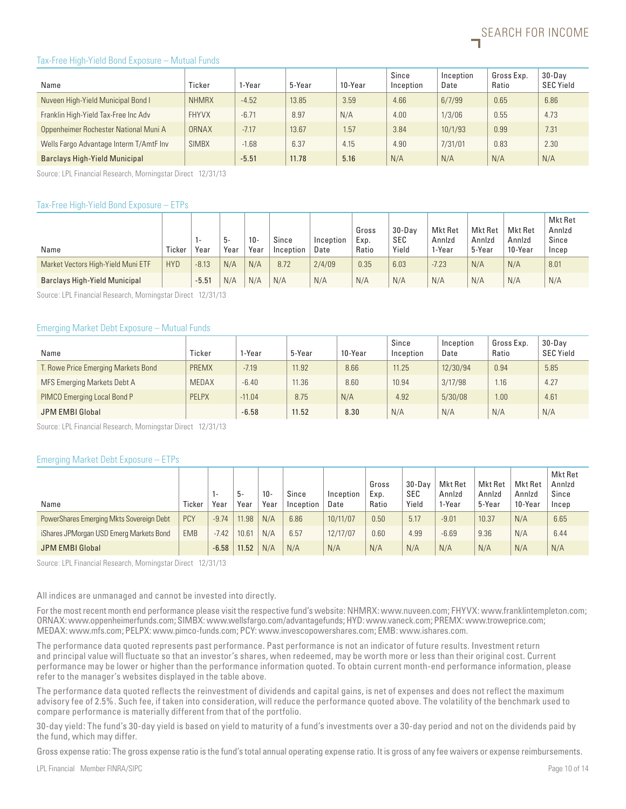

#### Tax-Free High-Yield Bond Exposure – Mutual Funds

| Name                                    | Ticker       | 1-Year  | 5-Year | 10-Year | Since<br>Inception | Inception<br>Date | Gross Exp.<br>Ratio | $30 - Dav$<br><b>SEC Yield</b> |
|-----------------------------------------|--------------|---------|--------|---------|--------------------|-------------------|---------------------|--------------------------------|
| Nuveen High-Yield Municipal Bond I      | <b>NHMRX</b> | $-4.52$ | 13.85  | 3.59    | 4.66               | 6/7/99            | 0.65                | 6.86                           |
| Franklin High-Yield Tax-Free Inc Adv    | <b>FHYVX</b> | $-6.71$ | 8.97   | N/A     | 4.00               | 1/3/06            | 0.55                | 4.73                           |
| Oppenheimer Rochester National Muni A   | ORNAX        | $-7.17$ | 13.67  | 1.57    | 3.84               | 10/1/93           | 0.99                | 7.31                           |
| Wells Fargo Advantage Interm T/AmtF Inv | <b>SIMBX</b> | $-1.68$ | 6.37   | 4.15    | 4.90               | 7/31/01           | 0.83                | 2.30                           |
| <b>Barclays High-Yield Municipal</b>    |              | $-5.51$ | 11.78  | 5.16    | N/A                | N/A               | N/A                 | N/A                            |

Source: LPL Financial Research, Morningstar Direct 12/31/13

#### Tax-Free High-Yield Bond Exposure – ETPs

| Name                                 | Ticker     | . .<br>Year | .უ-<br>Year | $10 -$<br>Year | Since<br>Inception | Inception<br>Date | Gross<br>Exp.<br>Ratio | $30 - Dav$<br><b>SEC</b><br>Yield | Mkt Ret<br>Annizd<br>1-Year | Mkt Ret<br>Annizd<br>5-Year | Mkt Ret<br>Annizd<br>10-Year | Mkt Ret<br>Annizd<br>Since<br>Incep |
|--------------------------------------|------------|-------------|-------------|----------------|--------------------|-------------------|------------------------|-----------------------------------|-----------------------------|-----------------------------|------------------------------|-------------------------------------|
| Market Vectors High-Yield Muni ETF   | <b>HYD</b> | $-8.13$     | N/A         | N/A            | 8.72               | 2/4/09            | 0.35                   | 6.03                              | $-7.23$                     | N/A                         | N/A                          | 8.01                                |
| <b>Barclays High-Yield Municipal</b> |            | $-5.51$     | N/A         | N/A            | N/A                | N/A               | N/A                    | N/A                               | N/A                         | N/A                         | N/A                          | N/A                                 |

Source: LPL Financial Research, Morningstar Direct 12/31/13

#### Emerging Market Debt Exposure – Mutual Funds

| Name                                | Ticker       | 1-Year   | 5-Year | 10-Year | Since<br>Inception | Inception<br>Date | Gross Exp.<br>Ratio | $30 - Dav$<br><b>SEC Yield</b> |
|-------------------------------------|--------------|----------|--------|---------|--------------------|-------------------|---------------------|--------------------------------|
| T. Rowe Price Emerging Markets Bond | PREMX        | $-7.19$  | 11.92  | 8.66    | 11.25              | 12/30/94          | 0.94                | 5.85                           |
| MFS Emerging Markets Debt A         | <b>MEDAX</b> | $-6.40$  | 11.36  | 8.60    | 10.94              | 3/17/98           | 1.16                | 4.27                           |
| PIMCO Emerging Local Bond P         | <b>PELPX</b> | $-11.04$ | 8.75   | N/A     | 4.92               | 5/30/08           | 1.00                | 4.61                           |
| JPM EMBI Global                     |              | $-6.58$  | 11.52  | 8.30    | N/A                | N/A               | N/A                 | N/A                            |

Source: LPL Financial Research, Morningstar Direct 12/31/13

#### Emerging Market Debt Exposure – ETPs

| Name                                     | Ticker     | Year    | ხ-<br>Year | $10 -$<br>Year | Since<br>Inception | Inception<br>Date | Gross<br>Exp.<br>Ratio | $30 - Dav$<br>SEC<br>Yield | Mkt Ret<br>Annizd<br>1-Year | Mkt Ret<br>Annizd<br>5-Year | Mkt Ret<br>Annizd<br>10-Year | Mkt Ret<br>Annizd<br>Since<br>Incep |
|------------------------------------------|------------|---------|------------|----------------|--------------------|-------------------|------------------------|----------------------------|-----------------------------|-----------------------------|------------------------------|-------------------------------------|
| PowerShares Emerging Mkts Sovereign Debt | <b>PCY</b> | $-9.74$ | 11.98      | N/A            | 6.86               | 10/11/07          | 0.50                   | 5.17                       | $-9.01$                     | 10.37                       | N/A                          | 6.65                                |
| iShares JPMorgan USD Emerg Markets Bond  | <b>EMB</b> | $-7.42$ | 10.61      | N/A            | 6.57               | 12/17/07          | 0.60                   | 4.99                       | $-6.69$                     | 9.36                        | N/A                          | 6.44                                |
| JPM EMBI Global                          |            | $-6.58$ | 11.52      | N/A            | N/A                | N/A               | N/A                    | N/A                        | N/A                         | N/A                         | N/A                          | N/A                                 |

Source: LPL Financial Research, Morningstar Direct 12/31/13

All indices are unmanaged and cannot be invested into directly.

For the most recent month end performance please visit the respective fund's website: NHMRX: www.nuveen.com; FHYVX: www.franklintempleton.com; ORNAX: www.oppenheimerfunds.com; SIMBX: www.wellsfargo.com/advantagefunds; HYD: www.vaneck.com; PREMX: www.troweprice.com; MEDAX: www.mfs.com; PELPX: www.pimco-funds.com; PCY: www.invescopowershares.com; EMB: www.ishares.com.

The performance data quoted represents past performance. Past performance is not an indicator of future results. Investment return and principal value will fluctuate so that an investor's shares, when redeemed, may be worth more or less than their original cost. Current performance may be lower or higher than the performance information quoted. To obtain current month-end performance information, please refer to the manager's websites displayed in the table above.

The performance data quoted reflects the reinvestment of dividends and capital gains, is net of expenses and does not reflect the maximum advisory fee of 2.5%. Such fee, if taken into consideration, will reduce the performance quoted above. The volatility of the benchmark used to compare performance is materially different from that of the portfolio.

30-day yield: The fund's 30-day yield is based on yield to maturity of a fund's investments over a 30-day period and not on the dividends paid by the fund, which may differ.

Gross expense ratio: The gross expense ratio is the fund's total annual operating expense ratio. It is gross of any fee waivers or expense reimbursements.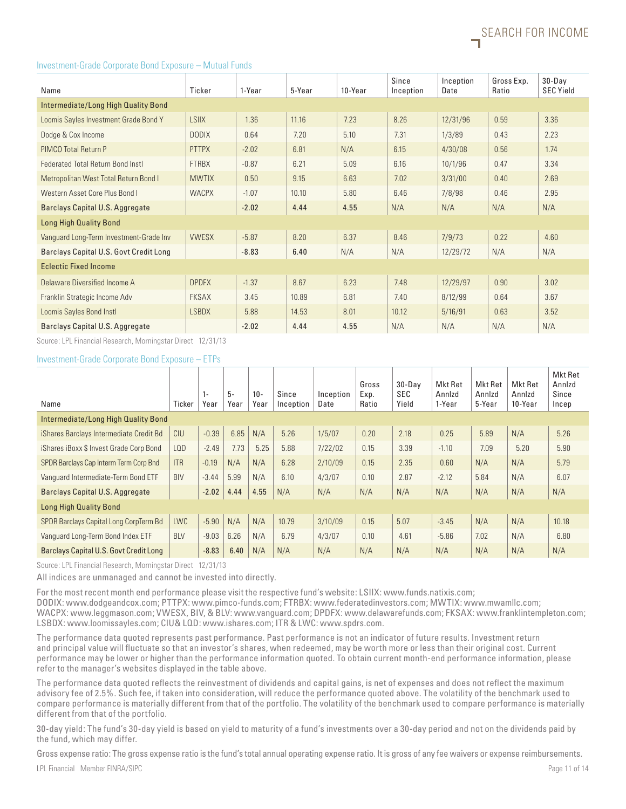#### Investment-Grade Corporate Bond Exposure – Mutual Funds

| Name                                      | Ticker       | 1-Year  | 5-Year | 10-Year | Since<br>Inception | Inception<br>Date | Gross Exp.<br>Ratio | $30 - Day$<br><b>SEC Yield</b> |
|-------------------------------------------|--------------|---------|--------|---------|--------------------|-------------------|---------------------|--------------------------------|
| Intermediate/Long High Quality Bond       |              |         |        |         |                    |                   |                     |                                |
| Loomis Sayles Investment Grade Bond Y     | <b>LSIIX</b> | 1.36    | 11.16  | 7.23    | 8.26               | 12/31/96          | 0.59                | 3.36                           |
| Dodge & Cox Income                        | <b>DODIX</b> | 0.64    | 7.20   | 5.10    | 7.31               | 1/3/89            | 0.43                | 2.23                           |
| PIMCO Total Return P                      | <b>PTTPX</b> | $-2.02$ | 6.81   | N/A     | 6.15               | 4/30/08           | 0.56                | 1.74                           |
| <b>Federated Total Return Bond Instl.</b> | <b>FTRBX</b> | $-0.87$ | 6.21   | 5.09    | 6.16               | 10/1/96           | 0.47                | 3.34                           |
| Metropolitan West Total Return Bond I     | <b>MWTIX</b> | 0.50    | 9.15   | 6.63    | 7.02               | 3/31/00           | 0.40                | 2.69                           |
| Western Asset Core Plus Bond I            | <b>WACPX</b> | $-1.07$ | 10.10  | 5.80    | 6.46               | 7/8/98            | 0.46                | 2.95                           |
| Barclays Capital U.S. Aggregate           |              | $-2.02$ | 4.44   | 4.55    | N/A                | N/A               | N/A                 | N/A                            |
| <b>Long High Quality Bond</b>             |              |         |        |         |                    |                   |                     |                                |
| Vanguard Long-Term Investment-Grade Inv   | <b>VWESX</b> | $-5.87$ | 8.20   | 6.37    | 8.46               | 7/9/73            | 0.22                | 4.60                           |
| Barclays Capital U.S. Govt Credit Long    |              | $-8.83$ | 6.40   | N/A     | N/A                | 12/29/72          | N/A                 | N/A                            |
| <b>Eclectic Fixed Income</b>              |              |         |        |         |                    |                   |                     |                                |
| Delaware Diversified Income A             | <b>DPDFX</b> | $-1.37$ | 8.67   | 6.23    | 7.48               | 12/29/97          | 0.90                | 3.02                           |
| Franklin Strategic Income Adv             | <b>FKSAX</b> | 3.45    | 10.89  | 6.81    | 7.40               | 8/12/99           | 0.64                | 3.67                           |
| Loomis Sayles Bond Instl                  | <b>LSBDX</b> | 5.88    | 14.53  | 8.01    | 10.12              | 5/16/91           | 0.63                | 3.52                           |
| Barclays Capital U.S. Aggregate           |              | $-2.02$ | 4.44   | 4.55    | N/A                | N/A               | N/A                 | N/A                            |

Source: LPL Financial Research, Morningstar Direct 12/31/13

#### Investment-Grade Corporate Bond Exposure – ETPs

| Name                                    | Ticker     | 1-<br>Year | $5-$<br>Year | $10 -$<br>Year | Since<br>Inception | Inception<br>Date | Gross<br>Exp.<br>Ratio | $30 - Dav$<br><b>SEC</b><br>Yield | Mkt Ret<br>Annizd<br>1-Year | Mkt Ret<br>Annizd<br>5-Year | Mkt Ret<br>Annizd<br>10-Year | Mkt Ret<br>Annizd<br>Since<br>Incep |
|-----------------------------------------|------------|------------|--------------|----------------|--------------------|-------------------|------------------------|-----------------------------------|-----------------------------|-----------------------------|------------------------------|-------------------------------------|
| Intermediate/Long High Quality Bond     |            |            |              |                |                    |                   |                        |                                   |                             |                             |                              |                                     |
| iShares Barclays Intermediate Credit Bd | CIU        | $-0.39$    | 6.85         | N/A            | 5.26               | 1/5/07            | 0.20                   | 2.18                              | 0.25                        | 5.89                        | N/A                          | 5.26                                |
| iShares iBoxx \$ Invest Grade Corp Bond | LQD        | $-2.49$    | 7.73         | 5.25           | 5.88               | 7/22/02           | 0.15                   | 3.39                              | $-1.10$                     | 7.09                        | 5.20                         | 5.90                                |
| SPDR Barclays Cap Interm Term Corp Bnd  | <b>ITR</b> | $-0.19$    | N/A          | N/A            | 6.28               | 2/10/09           | 0.15                   | 2.35                              | 0.60                        | N/A                         | N/A                          | 5.79                                |
| Vanguard Intermediate-Term Bond ETF     | <b>BIV</b> | $-3.44$    | 5.99         | N/A            | 6.10               | 4/3/07            | 0.10                   | 2.87                              | $-2.12$                     | 5.84                        | N/A                          | 6.07                                |
| Barclays Capital U.S. Aggregate         |            | $-2.02$    | 4.44         | 4.55           | N/A                | N/A               | N/A                    | N/A                               | N/A                         | N/A                         | N/A                          | N/A                                 |
| <b>Long High Quality Bond</b>           |            |            |              |                |                    |                   |                        |                                   |                             |                             |                              |                                     |
| SPDR Barclays Capital Long CorpTerm Bd  | <b>LWC</b> | $-5.90$    | N/A          | N/A            | 10.79              | 3/10/09           | 0.15                   | 5.07                              | $-3.45$                     | N/A                         | N/A                          | 10.18                               |
| Vanguard Long-Term Bond Index ETF       | <b>BLV</b> | $-9.03$    | 6.26         | N/A            | 6.79               | 4/3/07            | 0.10                   | 4.61                              | $-5.86$                     | 7.02                        | N/A                          | 6.80                                |
| Barclays Capital U.S. Govt Credit Long  |            | $-8.83$    | 6.40         | N/A            | N/A                | N/A               | N/A                    | N/A                               | N/A                         | N/A                         | N/A                          | N/A                                 |

Source: LPL Financial Research, Morningstar Direct 12/31/13

All indices are unmanaged and cannot be invested into directly.

For the most recent month end performance please visit the respective fund's website: LSIIX: www.funds.natixis.com;

DODIX: www.dodgeandcox.com; PTTPX: www.pimco-funds.com; FTRBX: www.federatedinvestors.com; MWTIX: www.mwamllc.com; WACPX: www.leggmason.com; VWESX, BIV, & BLV: www.vanguard.com; DPDFX: www.delawarefunds.com; FKSAX: www.franklintempleton.com; LSBDX: www.loomissayles.com; CIU& LQD: www.ishares.com; ITR & LWC: www.spdrs.com.

The performance data quoted represents past performance. Past performance is not an indicator of future results. Investment return and principal value will fluctuate so that an investor's shares, when redeemed, may be worth more or less than their original cost. Current performance may be lower or higher than the performance information quoted. To obtain current month-end performance information, please refer to the manager's websites displayed in the table above.

The performance data quoted reflects the reinvestment of dividends and capital gains, is net of expenses and does not reflect the maximum advisory fee of 2.5%. Such fee, if taken into consideration, will reduce the performance quoted above. The volatility of the benchmark used to compare performance is materially different from that of the portfolio. The volatility of the benchmark used to compare performance is materially different from that of the portfolio.

30-day yield: The fund's 30-day yield is based on yield to maturity of a fund's investments over a 30-day period and not on the dividends paid by the fund, which may differ.

LPL Financial Member FINRA/SIPC Page 11 of 14 Gross expense ratio: The gross expense ratio is the fund's total annual operating expense ratio. It is gross of any fee waivers or expense reimbursements.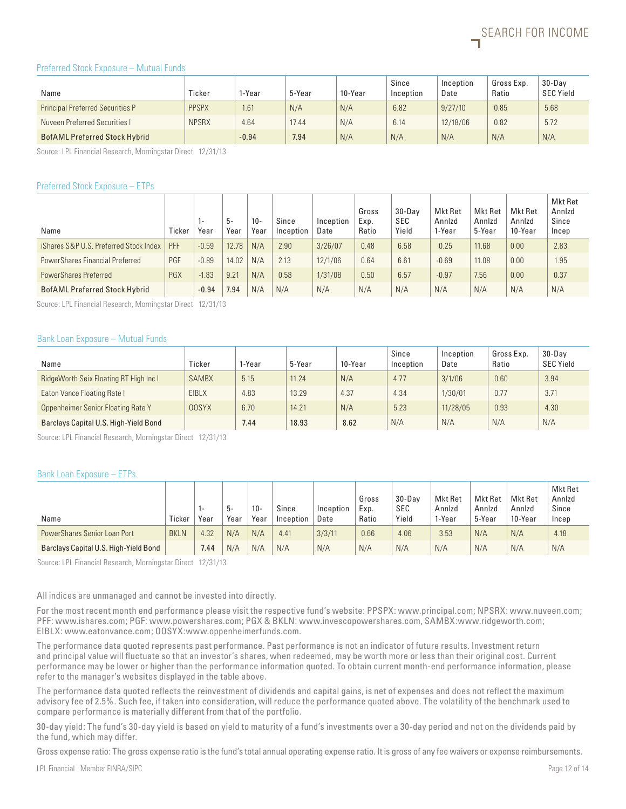#### Preferred Stock Exposure – Mutual Funds

| Name                                    | Ticker       | I-Year  | 5-Year | 10-Year | Since<br>Inception | Inception<br>Date | Gross Exp.<br>Ratio | $30 - Dav$<br><b>SEC Yield</b> |
|-----------------------------------------|--------------|---------|--------|---------|--------------------|-------------------|---------------------|--------------------------------|
| <b>Principal Preferred Securities P</b> | <b>PPSPX</b> | 1.61    | N/A    | N/A     | 6.82               | 9/27/10           | 0.85                | 5.68                           |
| Nuveen Preferred Securities I           | <b>NPSRX</b> | 4.64    | 17.44  | N/A     | 6.14               | 12/18/06          | 0.82                | 5.72                           |
| <b>BofAML Preferred Stock Hybrid</b>    |              | $-0.94$ | 7.94   | N/A     | N/A                | N/A               | N/A                 | N/A                            |

Source: LPL Financial Research, Morningstar Direct 12/31/13

#### Preferred Stock Exposure – ETPs

| Name                                   | Ticker | ı-<br>Year | 5-<br>Year | $10 -$<br>Year | Since<br>Inception | Inception<br>Date | Gross<br>Exp.<br>Ratio | $30 - Dav$<br><b>SEC</b><br>Yield | Mkt Ret<br>Annizd<br>1-Year | Mkt Ret<br>Annizd<br>5-Year | Mkt Ret<br>Annizd<br>10-Year | Mkt Ret<br>Annizd<br>Since<br>Incep |
|----------------------------------------|--------|------------|------------|----------------|--------------------|-------------------|------------------------|-----------------------------------|-----------------------------|-----------------------------|------------------------------|-------------------------------------|
| iShares S&P U.S. Preferred Stock Index | PFF    | $-0.59$    | 12.78      | N/A            | 2.90               | 3/26/07           | 0.48                   | 6.58                              | 0.25                        | 11.68                       | 0.00                         | 2.83                                |
| PowerShares Financial Preferred        | PGF    | $-0.89$    | 14.02      | N/A            | 2.13               | 12/1/06           | 0.64                   | 6.61                              | $-0.69$                     | 11.08                       | 0.00                         | 1.95                                |
| <b>PowerShares Preferred</b>           | PGX    | $-1.83$    | 9.21       | N/A            | 0.58               | 1/31/08           | 0.50                   | 6.57                              | $-0.97$                     | 7.56                        | 0.00                         | 0.37                                |
| <b>BofAML Preferred Stock Hybrid</b>   |        | $-0.94$    | 7.94       | N/A            | N/A                | N/A               | N/A                    | N/A                               | N/A                         | N/A                         | N/A                          | N/A                                 |

Source: LPL Financial Research, Morningstar Direct 12/31/13

#### Bank Loan Exposure – Mutual Funds

| Name                                   | Ticker       | 1-Year | 5-Year | 10-Year | Since<br>Inception | Inception<br>Date | Gross Exp.<br>Ratio | $30 - Dav$<br><b>SEC Yield</b> |
|----------------------------------------|--------------|--------|--------|---------|--------------------|-------------------|---------------------|--------------------------------|
| RidgeWorth Seix Floating RT High Inc I | <b>SAMBX</b> | 5.15   | 11.24  | N/A     | 4.77               | 3/1/06            | 0.60                | 3.94                           |
| Eaton Vance Floating Rate I            | EIBLX        | 4.83   | 13.29  | 4.37    | 4.34               | 1/30/01           | 0.77                | 3.71                           |
| Oppenheimer Senior Floating Rate Y     | <b>OOSYX</b> | 6.70   | 14.21  | N/A     | 5.23               | 11/28/05          | 0.93                | 4.30                           |
| Barclays Capital U.S. High-Yield Bond  |              | 7.44   | 18.93  | 8.62    | N/A                | N/A               | N/A                 | N/A                            |

Source: LPL Financial Research, Morningstar Direct 12/31/13

#### Bank Loan Exposure – ETPs

|                                       |             |      | 5-   | $10 -$ | Since     | Inception | Gross<br>Exp. | 30-Dav<br><b>SEC</b> | Mkt Ret<br>Annizd | Mkt Ret<br>Annizd | Mkt Ret<br>Annizd | Mkt Ret<br>Annizd<br>Since |
|---------------------------------------|-------------|------|------|--------|-----------|-----------|---------------|----------------------|-------------------|-------------------|-------------------|----------------------------|
| Name                                  | Ticker      | Year | Year | Year   | Inception | Date      | Ratio         | Yield                | 1-Year            | 5-Year            | 10-Year           | Incep                      |
| PowerShares Senior Loan Port          | <b>BKLN</b> | 4.32 | N/A  | N/A    | 4.41      | 3/3/11    | 0.66          | 4.06                 | 3.53              | N/A               | N/A               | 4.18                       |
| Barclays Capital U.S. High-Yield Bond |             | 7.44 | N/A  | N/A    | N/A       | N/A       | N/A           | N/A                  | N/A               | N/A               | N/A               | N/A                        |

Source: LPL Financial Research, Morningstar Direct 12/31/13

All indices are unmanaged and cannot be invested into directly.

For the most recent month end performance please visit the respective fund's website: PPSPX: www.principal.com; NPSRX: www.nuveen.com; PFF: www.ishares.com; PGF: www.powershares.com; PGX & BKLN: www.invescopowershares.com, SAMBX:www.ridgeworth.com; EIBLX: www.eatonvance.com; OOSYX:www.oppenheimerfunds.com.

The performance data quoted represents past performance. Past performance is not an indicator of future results. Investment return and principal value will fluctuate so that an investor's shares, when redeemed, may be worth more or less than their original cost. Current performance may be lower or higher than the performance information quoted. To obtain current month-end performance information, please refer to the manager's websites displayed in the table above.

The performance data quoted reflects the reinvestment of dividends and capital gains, is net of expenses and does not reflect the maximum advisory fee of 2.5%. Such fee, if taken into consideration, will reduce the performance quoted above. The volatility of the benchmark used to compare performance is materially different from that of the portfolio.

30-day yield: The fund's 30-day yield is based on yield to maturity of a fund's investments over a 30-day period and not on the dividends paid by the fund, which may differ.

Gross expense ratio: The gross expense ratio is the fund's total annual operating expense ratio. It is gross of any fee waivers or expense reimbursements.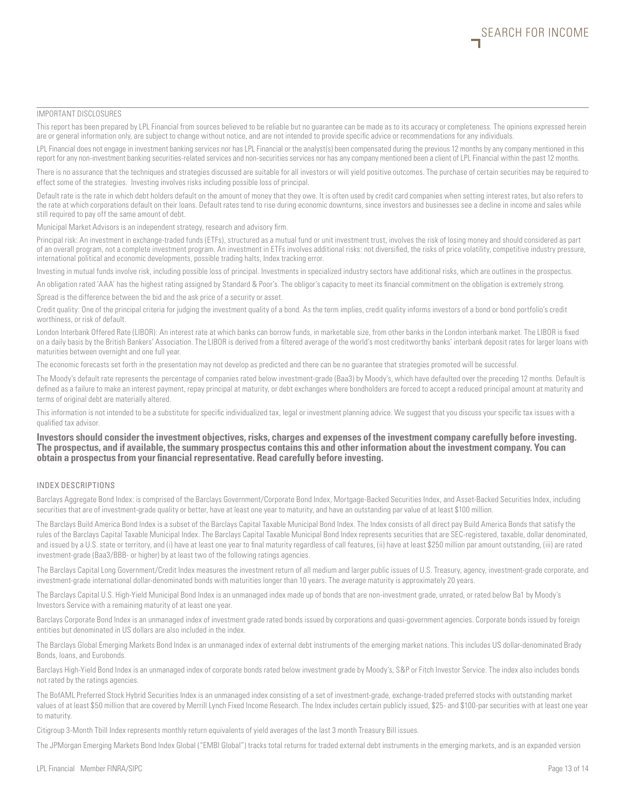#### IMPORTANT DISCLOSURES

This report has been prepared by LPL Financial from sources believed to be reliable but no guarantee can be made as to its accuracy or completeness. The opinions expressed herein are or general information only, are subject to change without notice, and are not intended to provide specific advice or recommendations for any individuals.

LPL Financial does not engage in investment banking services nor has LPL Financial or the analyst(s) been compensated during the previous 12 months by any company mentioned in this report for any non-investment banking securities-related services and non-securities services nor has any company mentioned been a client of LPL Financial within the past 12 months.

There is no assurance that the techniques and strategies discussed are suitable for all investors or will yield positive outcomes. The purchase of certain securities may be required to effect some of the strategies. Investing involves risks including possible loss of principal.

Default rate is the rate in which debt holders default on the amount of money that they owe. It is often used by credit card companies when setting interest rates, but also refers to the rate at which corporations default on their loans. Default rates tend to rise during economic downturns, since investors and businesses see a decline in income and sales while still required to pay off the same amount of debt.

Municipal Market Advisors is an independent strategy, research and advisory firm.

Principal risk: An investment in exchange-traded funds (ETFs), structured as a mutual fund or unit investment trust, involves the risk of losing money and should considered as part of an overall program, not a complete investment program. An investment in ETFs involves additional risks: not diversified, the risks of price volatility, competitive industry pressure, international political and economic developments, possible trading halts, Index tracking error.

Investing in mutual funds involve risk, including possible loss of principal. Investments in specialized industry sectors have additional risks, which are outlines in the prospectus.

An obligation rated 'AAA' has the highest rating assigned by Standard & Poor's. The obligor's capacity to meet its financial commitment on the obligation is extremely strong. Spread is the difference between the bid and the ask price of a security or asset.

Credit quality: One of the principal criteria for judging the investment quality of a bond. As the term implies, credit quality informs investors of a bond or bond portfolio's credit worthiness, or risk of default.

London Interbank Offered Rate (LIBOR): An interest rate at which banks can borrow funds, in marketable size, from other banks in the London interbank market. The LIBOR is fixed on a daily basis by the British Bankers' Association. The LIBOR is derived from a filtered average of the world's most creditworthy banks' interbank deposit rates for larger loans with maturities between overnight and one full year.

The economic forecasts set forth in the presentation may not develop as predicted and there can be no guarantee that strategies promoted will be successful.

The Moody's default rate represents the percentage of companies rated below investment-grade (Baa3) by Moody's, which have defaulted over the preceding 12 months. Default is defined as a failure to make an interest payment, repay principal at maturity, or debt exchanges where bondholders are forced to accept a reduced principal amount at maturity and terms of original debt are materially altered.

This information is not intended to be a substitute for specific individualized tax, legal or investment planning advice. We suggest that you discuss your specific tax issues with a qualified tax advisor.

#### **Investors should consider the investment objectives, risks, charges and expenses of the investment company carefully before investing. The prospectus, and if available, the summary prospectus contains this and other information about the investment company. You can obtain a prospectus from your financial representative. Read carefully before investing.**

#### INDEX DESCRIPTIONS

Barclays Aggregate Bond Index: is comprised of the Barclays Government/Corporate Bond Index, Mortgage-Backed Securities Index, and Asset-Backed Securities Index, including securities that are of investment-grade quality or better, have at least one year to maturity, and have an outstanding par value of at least \$100 million.

The Barclays Build America Bond Index is a subset of the Barclays Capital Taxable Municipal Bond Index. The Index consists of all direct pay Build America Bonds that satisfy the rules of the Barclays Capital Taxable Municipal Index. The Barclays Capital Taxable Municipal Bond Index represents securities that are SEC-registered, taxable, dollar denominated, and issued by a U.S. state or territory, and (i) have at least one year to final maturity regardless of call features, (ii) have at least \$250 million par amount outstanding, (iii) are rated investment-grade (Baa3/BBB- or higher) by at least two of the following ratings agencies.

The Barclays Capital Long Government/Credit Index measures the investment return of all medium and larger public issues of U.S. Treasury, agency, investment-grade corporate, and investment-grade international dollar-denominated bonds with maturities longer than 10 years. The average maturity is approximately 20 years.

The Barclays Capital U.S. High-Yield Municipal Bond Index is an unmanaged index made up of bonds that are non-investment grade, unrated, or rated below Ba1 by Moody's Investors Service with a remaining maturity of at least one year.

Barclays Corporate Bond Index is an unmanaged index of investment grade rated bonds issued by corporations and quasi-government agencies. Corporate bonds issued by foreign entities but denominated in US dollars are also included in the index.

The Barclays Global Emerging Markets Bond Index is an unmanaged index of external debt instruments of the emerging market nations. This includes US dollar-denominated Brady Bonds, loans, and Eurobonds.

Barclays High-Yield Bond Index is an unmanaged index of corporate bonds rated below investment grade by Moody's, S&P or Fitch Investor Service. The index also includes bonds not rated by the ratings agencies.

The BofAML Preferred Stock Hybrid Securities Index is an unmanaged index consisting of a set of investment-grade, exchange-traded preferred stocks with outstanding market values of at least \$50 million that are covered by Merrill Lynch Fixed Income Research. The Index includes certain publicly issued, \$25- and \$100-par securities with at least one year to maturity.

Citigroup 3-Month Tbill Index represents monthly return equivalents of yield averages of the last 3 month Treasury Bill issues.

The JPMorgan Emerging Markets Bond Index Global ("EMBI Global") tracks total returns for traded external debt instruments in the emerging markets, and is an expanded version